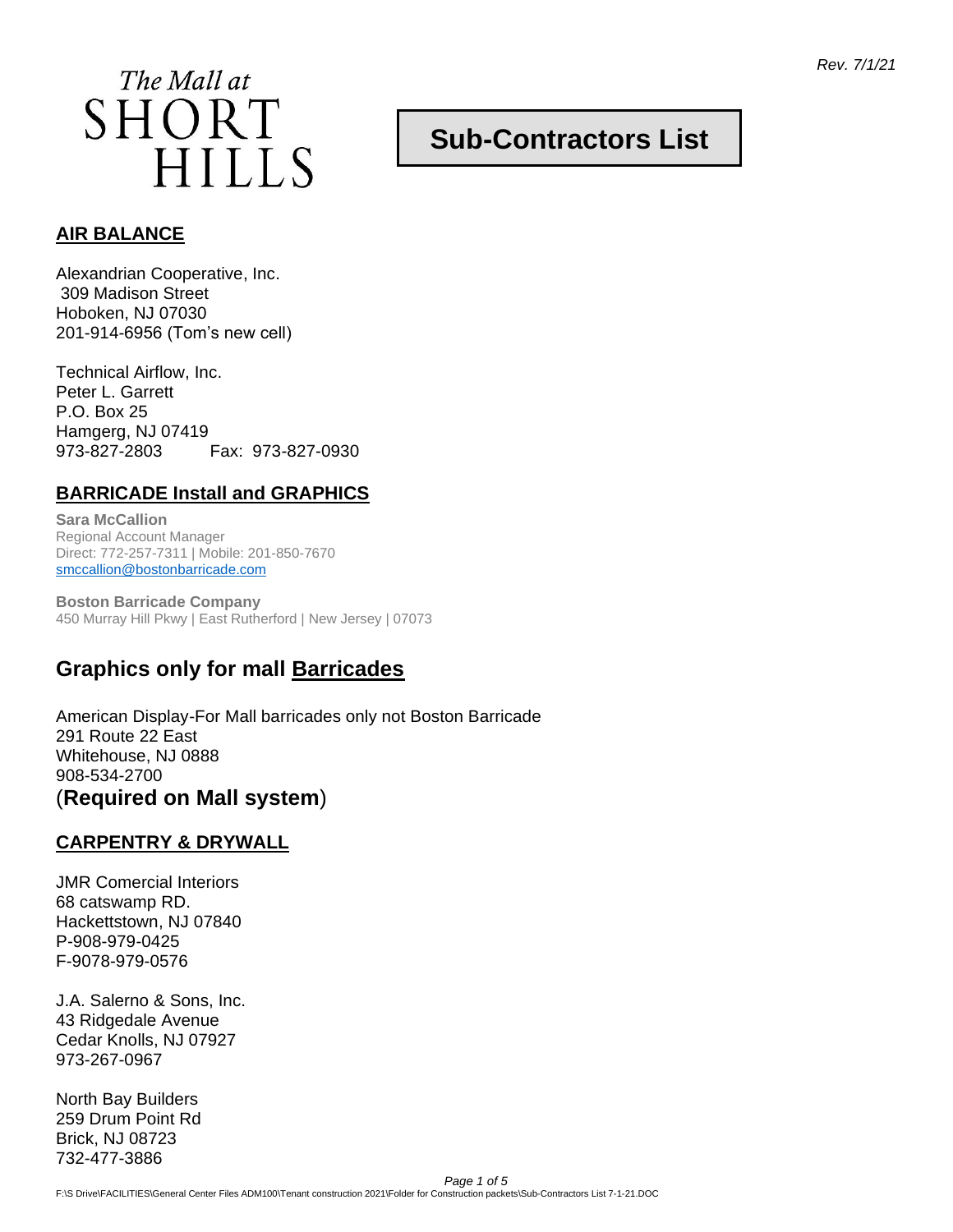*Rev. 7/1/21*

**Sub-Contractors List**



#### **AIR BALANCE**

Alexandrian Cooperative, Inc. 309 Madison Street Hoboken, NJ 07030 201-914-6956 (Tom's new cell)

Technical Airflow, Inc. Peter L. Garrett P.O. Box 25 Hamgerg, NJ 07419 973-827-2803 Fax: 973-827-0930

### **BARRICADE Install and GRAPHICS**

**Sara McCallion** Regional Account Manager Direct: 772-257-7311 | Mobile: 201-850-7670 [smccallion@bostonbarricade.com](mailto:smccallion@bostonbarricade.com)

**Boston Barricade Company** 450 Murray Hill Pkwy | East Rutherford | New Jersey | 07073

# **Graphics only for mall Barricades**

American Display-For Mall barricades only not Boston Barricade 291 Route 22 East Whitehouse, NJ 0888 908-534-2700 (**Required on Mall system**)

#### **CARPENTRY & DRYWALL**

JMR Comercial Interiors 68 catswamp RD. Hackettstown, NJ 07840 P-908-979-0425 F-9078-979-0576

J.A. Salerno & Sons, Inc. 43 Ridgedale Avenue Cedar Knolls, NJ 07927 973-267-0967

North Bay Builders 259 Drum Point Rd Brick, NJ 08723 732-477-3886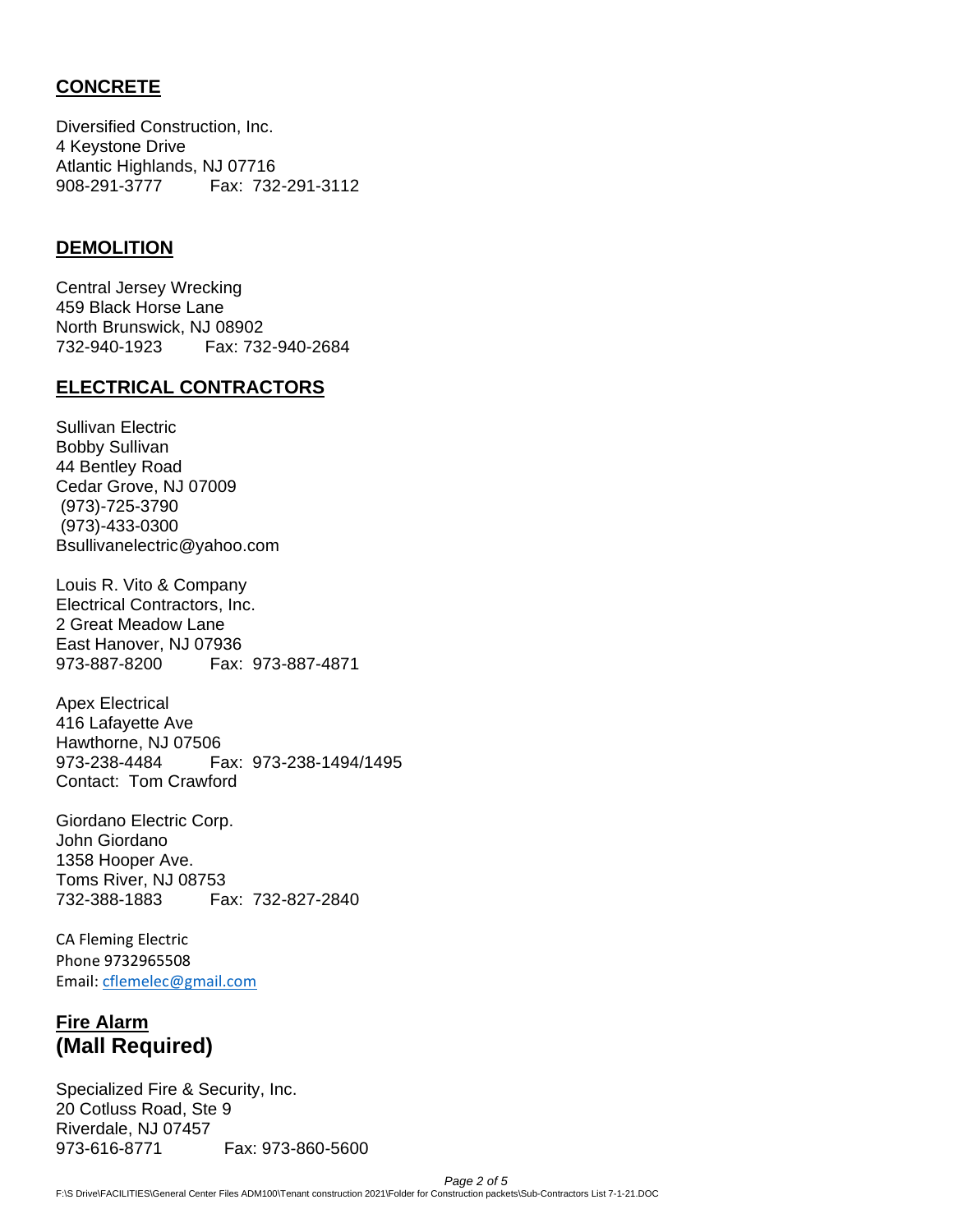### **CONCRETE**

Diversified Construction, Inc. 4 Keystone Drive Atlantic Highlands, NJ 07716 908-291-3777 Fax: 732-291-3112

#### **DEMOLITION**

Central Jersey Wrecking 459 Black Horse Lane North Brunswick, NJ 08902 732-940-1923 Fax: 732-940-2684

#### **ELECTRICAL CONTRACTORS**

Sullivan Electric Bobby Sullivan 44 Bentley Road Cedar Grove, NJ 07009 (973)-725-3790 (973)-433-0300 Bsullivanelectric@yahoo.com

Louis R. Vito & Company Electrical Contractors, Inc. 2 Great Meadow Lane East Hanover, NJ 07936 973-887-8200 Fax: 973-887-4871

Apex Electrical 416 Lafayette Ave Hawthorne, NJ 07506 973-238-4484 Fax: 973-238-1494/1495 Contact: Tom Crawford

Giordano Electric Corp. John Giordano 1358 Hooper Ave. Toms River, NJ 08753 732-388-1883 Fax: 732-827-2840

CA Fleming Electric Phone 9732965508 Email: [cflemelec@gmail.com](mailto:cflemelec@gmail.com)

## **Fire Alarm (Mall Required)**

Specialized Fire & Security, Inc. 20 Cotluss Road, Ste 9 Riverdale, NJ 07457 973-616-8771 Fax: 973-860-5600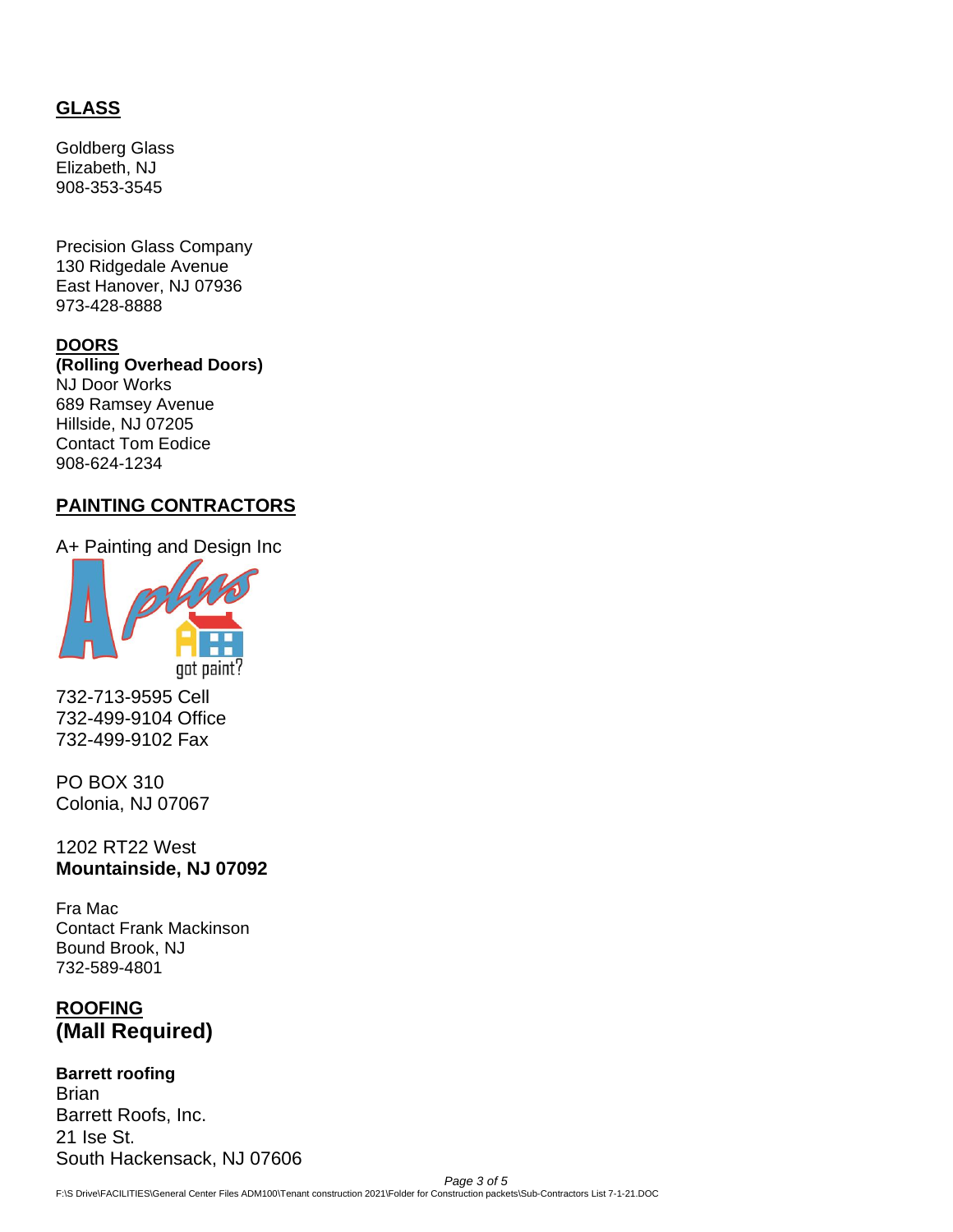### **GLASS**

Goldberg Glass Elizabeth, NJ 908-353-3545

Precision Glass Company 130 Ridgedale Avenue East Hanover, NJ 07936 973-428-8888

#### **DOORS**

**(Rolling Overhead Doors)** NJ Door Works 689 Ramsey Avenue Hillside, NJ 07205 Contact Tom Eodice 908-624-1234

#### **PAINTING CONTRACTORS**

A+ Painting and Design Inc



732-713-9595 Cell 732-499-9104 Office 732-499-9102 Fax

PO BOX 310 Colonia, NJ 07067

1202 RT22 West **Mountainside, NJ 07092**

Fra Mac Contact Frank Mackinson Bound Brook, NJ 732-589-4801

## **ROOFING (Mall Required)**

**Barrett roofing Brian** Barrett Roofs, Inc. 21 Ise St. South Hackensack, NJ 07606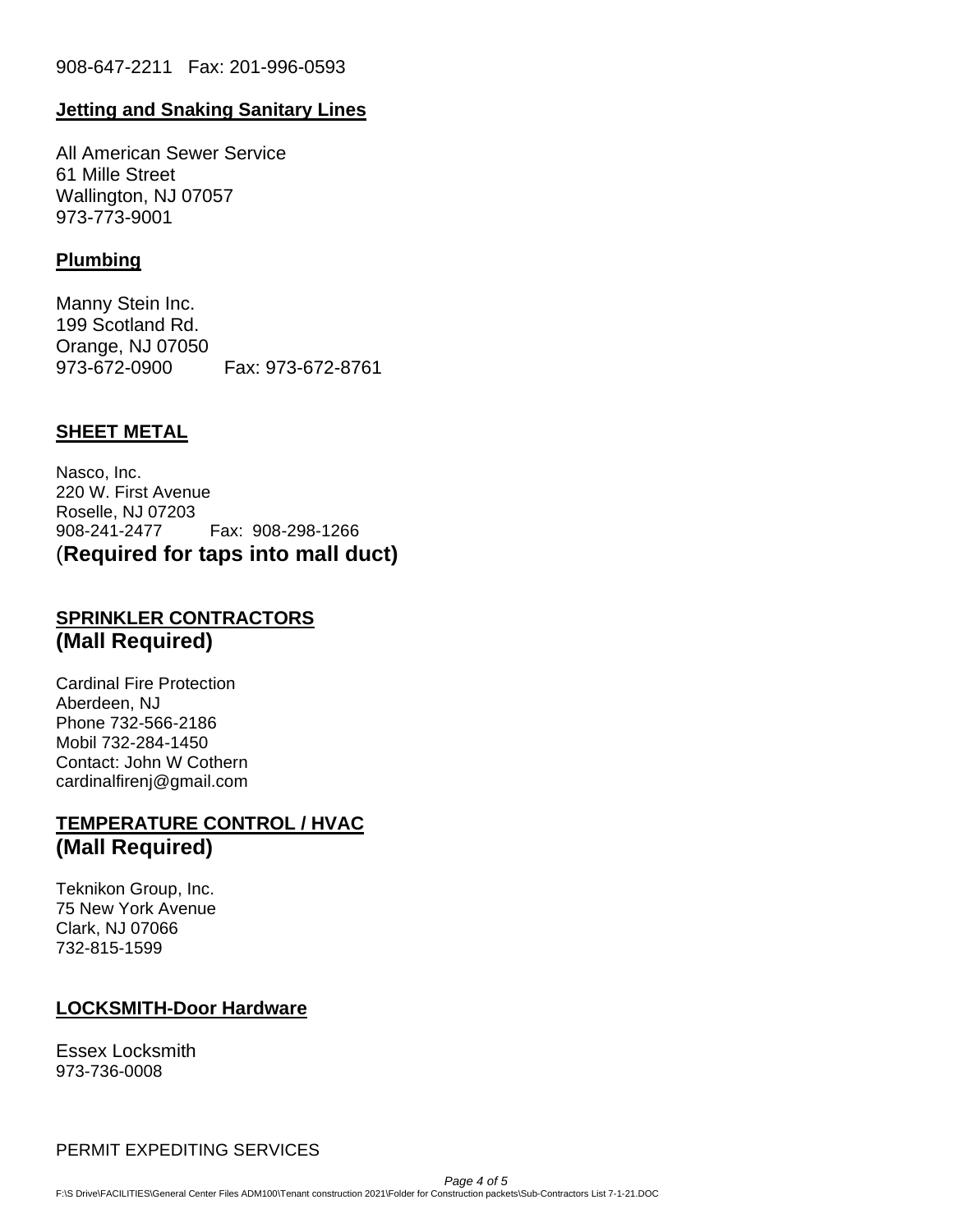#### **Jetting and Snaking Sanitary Lines**

All American Sewer Service 61 Mille Street Wallington, NJ 07057 973-773-9001

#### **Plumbing**

Manny Stein Inc. 199 Scotland Rd. Orange, NJ 07050 973-672-0900 Fax: 973-672-8761

#### **SHEET METAL**

Nasco, Inc. 220 W. First Avenue Roselle, NJ 07203 908-241-2477 Fax: 908-298-1266 (**Required for taps into mall duct)**

### **SPRINKLER CONTRACTORS (Mall Required)**

Cardinal Fire Protection Aberdeen, NJ Phone 732-566-2186 Mobil 732-284-1450 Contact: John W Cothern cardinalfirenj@gmail.com

### **TEMPERATURE CONTROL / HVAC (Mall Required)**

Teknikon Group, Inc. 75 New York Avenue Clark, NJ 07066 732-815-1599

#### **LOCKSMITH-Door Hardware**

Essex Locksmith 973-736-0008

PERMIT EXPEDITING SERVICES